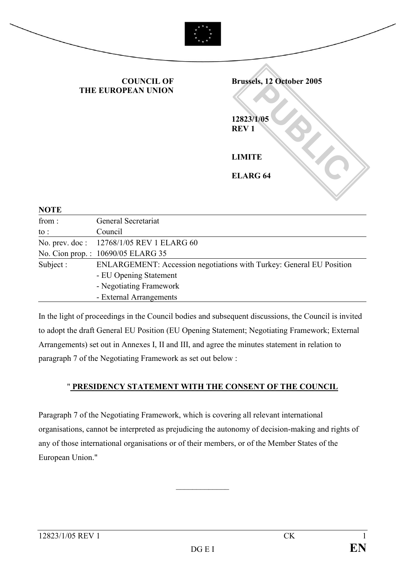

COUNCIL OF THE EUROPEAN UNION

**PUBLIC 2004** Brussels, 12 October 2005 12823/1/05 REV 1 LIMITE ELARG 64

| <b>NOTE</b> |                                                                      |
|-------------|----------------------------------------------------------------------|
| from:       | General Secretariat                                                  |
| to :        | Council                                                              |
|             | No. prev. doc: 12768/1/05 REV 1 ELARG 60                             |
|             | No. Cion prop.: 10690/05 ELARG 35                                    |
| Subject:    | ENLARGEMENT: Accession negotiations with Turkey: General EU Position |
|             | - EU Opening Statement                                               |
|             | - Negotiating Framework                                              |
|             | - External Arrangements                                              |

In the light of proceedings in the Council bodies and subsequent discussions, the Council is invited to adopt the draft General EU Position (EU Opening Statement; Negotiating Framework; External Arrangements) set out in Annexes I, II and III, and agree the minutes statement in relation to paragraph 7 of the Negotiating Framework as set out below :

#### " PRESIDENCY STATEMENT WITH THE CONSENT OF THE COUNCIL

Paragraph 7 of the Negotiating Framework, which is covering all relevant international organisations, cannot be interpreted as prejudicing the autonomy of decision-making and rights of any of those international organisations or of their members, or of the Member States of the European Union."

 $\frac{1}{2}$  ,  $\frac{1}{2}$  ,  $\frac{1}{2}$  ,  $\frac{1}{2}$  ,  $\frac{1}{2}$  ,  $\frac{1}{2}$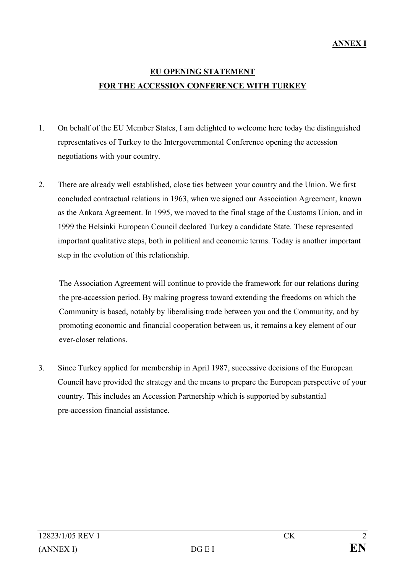# EU OPENING STATEMENT FOR THE ACCESSION CONFERENCE WITH TURKEY

- 1. On behalf of the EU Member States, I am delighted to welcome here today the distinguished representatives of Turkey to the Intergovernmental Conference opening the accession negotiations with your country.
- 2. There are already well established, close ties between your country and the Union. We first concluded contractual relations in 1963, when we signed our Association Agreement, known as the Ankara Agreement. In 1995, we moved to the final stage of the Customs Union, and in 1999 the Helsinki European Council declared Turkey a candidate State. These represented important qualitative steps, both in political and economic terms. Today is another important step in the evolution of this relationship.

The Association Agreement will continue to provide the framework for our relations during the pre-accession period. By making progress toward extending the freedoms on which the Community is based, notably by liberalising trade between you and the Community, and by promoting economic and financial cooperation between us, it remains a key element of our ever-closer relations.

3. Since Turkey applied for membership in April 1987, successive decisions of the European Council have provided the strategy and the means to prepare the European perspective of your country. This includes an Accession Partnership which is supported by substantial pre-accession financial assistance.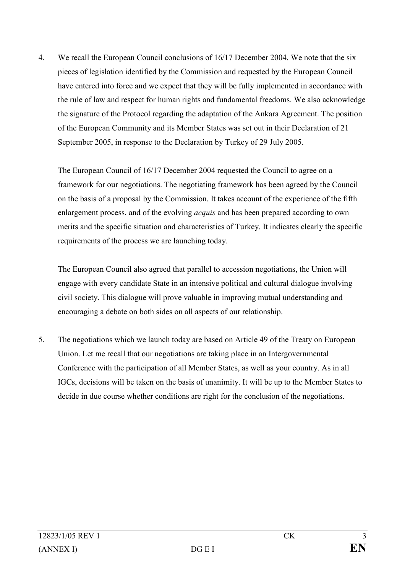4. We recall the European Council conclusions of 16/17 December 2004. We note that the six pieces of legislation identified by the Commission and requested by the European Council have entered into force and we expect that they will be fully implemented in accordance with the rule of law and respect for human rights and fundamental freedoms. We also acknowledge the signature of the Protocol regarding the adaptation of the Ankara Agreement. The position of the European Community and its Member States was set out in their Declaration of 21 September 2005, in response to the Declaration by Turkey of 29 July 2005.

The European Council of 16/17 December 2004 requested the Council to agree on a framework for our negotiations. The negotiating framework has been agreed by the Council on the basis of a proposal by the Commission. It takes account of the experience of the fifth enlargement process, and of the evolving *acquis* and has been prepared according to own merits and the specific situation and characteristics of Turkey. It indicates clearly the specific requirements of the process we are launching today.

The European Council also agreed that parallel to accession negotiations, the Union will engage with every candidate State in an intensive political and cultural dialogue involving civil society. This dialogue will prove valuable in improving mutual understanding and encouraging a debate on both sides on all aspects of our relationship.

5. The negotiations which we launch today are based on Article 49 of the Treaty on European Union. Let me recall that our negotiations are taking place in an Intergovernmental Conference with the participation of all Member States, as well as your country. As in all IGCs, decisions will be taken on the basis of unanimity. It will be up to the Member States to decide in due course whether conditions are right for the conclusion of the negotiations.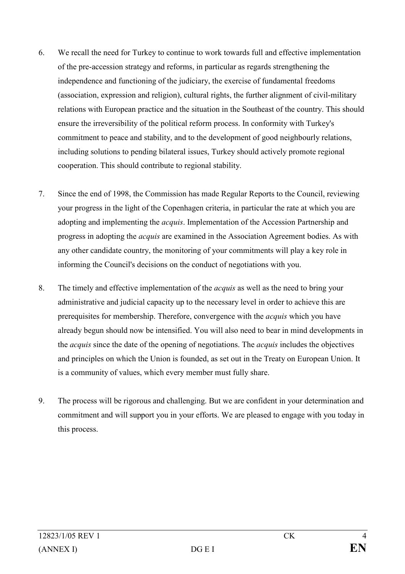- 6. We recall the need for Turkey to continue to work towards full and effective implementation of the pre-accession strategy and reforms, in particular as regards strengthening the independence and functioning of the judiciary, the exercise of fundamental freedoms (association, expression and religion), cultural rights, the further alignment of civil-military relations with European practice and the situation in the Southeast of the country. This should ensure the irreversibility of the political reform process. In conformity with Turkey's commitment to peace and stability, and to the development of good neighbourly relations, including solutions to pending bilateral issues, Turkey should actively promote regional cooperation. This should contribute to regional stability.
- 7. Since the end of 1998, the Commission has made Regular Reports to the Council, reviewing your progress in the light of the Copenhagen criteria, in particular the rate at which you are adopting and implementing the *acquis*. Implementation of the Accession Partnership and progress in adopting the acquis are examined in the Association Agreement bodies. As with any other candidate country, the monitoring of your commitments will play a key role in informing the Council's decisions on the conduct of negotiations with you.
- 8. The timely and effective implementation of the acquis as well as the need to bring your administrative and judicial capacity up to the necessary level in order to achieve this are prerequisites for membership. Therefore, convergence with the acquis which you have already begun should now be intensified. You will also need to bear in mind developments in the *acquis* since the date of the opening of negotiations. The *acquis* includes the objectives and principles on which the Union is founded, as set out in the Treaty on European Union. It is a community of values, which every member must fully share.
- 9. The process will be rigorous and challenging. But we are confident in your determination and commitment and will support you in your efforts. We are pleased to engage with you today in this process.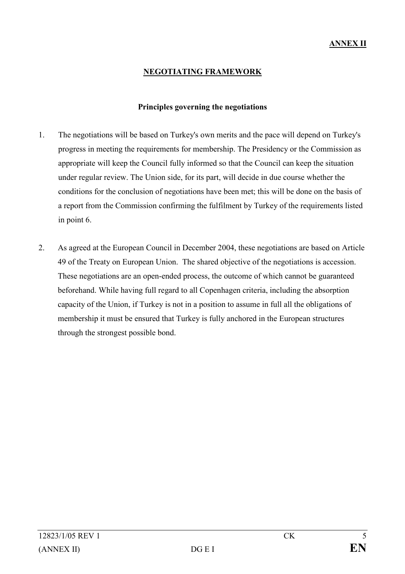# NEGOTIATING FRAMEWORK

#### Principles governing the negotiations

- 1. The negotiations will be based on Turkey's own merits and the pace will depend on Turkey's progress in meeting the requirements for membership. The Presidency or the Commission as appropriate will keep the Council fully informed so that the Council can keep the situation under regular review. The Union side, for its part, will decide in due course whether the conditions for the conclusion of negotiations have been met; this will be done on the basis of a report from the Commission confirming the fulfilment by Turkey of the requirements listed in point 6.
- 2. As agreed at the European Council in December 2004, these negotiations are based on Article 49 of the Treaty on European Union. The shared objective of the negotiations is accession. These negotiations are an open-ended process, the outcome of which cannot be guaranteed beforehand. While having full regard to all Copenhagen criteria, including the absorption capacity of the Union, if Turkey is not in a position to assume in full all the obligations of membership it must be ensured that Turkey is fully anchored in the European structures through the strongest possible bond.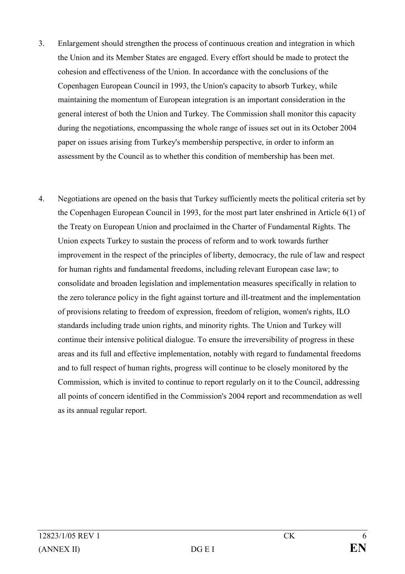- 3. Enlargement should strengthen the process of continuous creation and integration in which the Union and its Member States are engaged. Every effort should be made to protect the cohesion and effectiveness of the Union. In accordance with the conclusions of the Copenhagen European Council in 1993, the Union's capacity to absorb Turkey, while maintaining the momentum of European integration is an important consideration in the general interest of both the Union and Turkey. The Commission shall monitor this capacity during the negotiations, encompassing the whole range of issues set out in its October 2004 paper on issues arising from Turkey's membership perspective, in order to inform an assessment by the Council as to whether this condition of membership has been met.
- 4. Negotiations are opened on the basis that Turkey sufficiently meets the political criteria set by the Copenhagen European Council in 1993, for the most part later enshrined in Article 6(1) of the Treaty on European Union and proclaimed in the Charter of Fundamental Rights. The Union expects Turkey to sustain the process of reform and to work towards further improvement in the respect of the principles of liberty, democracy, the rule of law and respect for human rights and fundamental freedoms, including relevant European case law; to consolidate and broaden legislation and implementation measures specifically in relation to the zero tolerance policy in the fight against torture and ill-treatment and the implementation of provisions relating to freedom of expression, freedom of religion, women's rights, ILO standards including trade union rights, and minority rights. The Union and Turkey will continue their intensive political dialogue. To ensure the irreversibility of progress in these areas and its full and effective implementation, notably with regard to fundamental freedoms and to full respect of human rights, progress will continue to be closely monitored by the Commission, which is invited to continue to report regularly on it to the Council, addressing all points of concern identified in the Commission's 2004 report and recommendation as well as its annual regular report.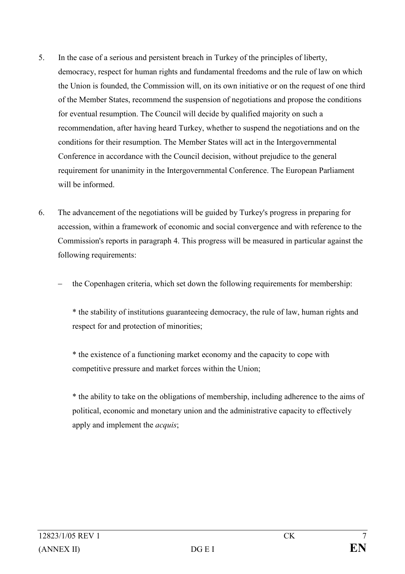- 5. In the case of a serious and persistent breach in Turkey of the principles of liberty, democracy, respect for human rights and fundamental freedoms and the rule of law on which the Union is founded, the Commission will, on its own initiative or on the request of one third of the Member States, recommend the suspension of negotiations and propose the conditions for eventual resumption. The Council will decide by qualified majority on such a recommendation, after having heard Turkey, whether to suspend the negotiations and on the conditions for their resumption. The Member States will act in the Intergovernmental Conference in accordance with the Council decision, without prejudice to the general requirement for unanimity in the Intergovernmental Conference. The European Parliament will be informed
- 6. The advancement of the negotiations will be guided by Turkey's progress in preparing for accession, within a framework of economic and social convergence and with reference to the Commission's reports in paragraph 4. This progress will be measured in particular against the following requirements:
	- the Copenhagen criteria, which set down the following requirements for membership:

\* the stability of institutions guaranteeing democracy, the rule of law, human rights and respect for and protection of minorities;

\* the existence of a functioning market economy and the capacity to cope with competitive pressure and market forces within the Union;

\* the ability to take on the obligations of membership, including adherence to the aims of political, economic and monetary union and the administrative capacity to effectively apply and implement the acquis;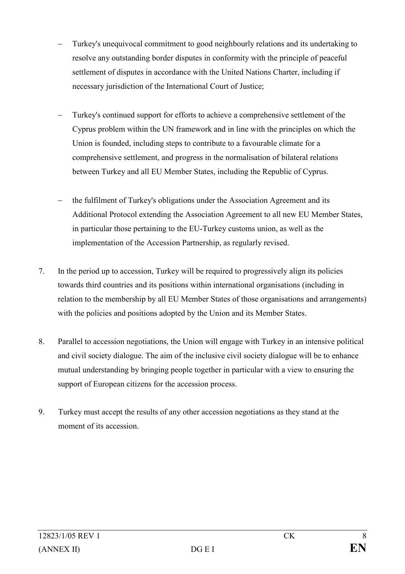- Turkey's unequivocal commitment to good neighbourly relations and its undertaking to resolve any outstanding border disputes in conformity with the principle of peaceful settlement of disputes in accordance with the United Nations Charter, including if necessary jurisdiction of the International Court of Justice;
- Turkey's continued support for efforts to achieve a comprehensive settlement of the Cyprus problem within the UN framework and in line with the principles on which the Union is founded, including steps to contribute to a favourable climate for a comprehensive settlement, and progress in the normalisation of bilateral relations between Turkey and all EU Member States, including the Republic of Cyprus.
- the fulfilment of Turkey's obligations under the Association Agreement and its Additional Protocol extending the Association Agreement to all new EU Member States, in particular those pertaining to the EU-Turkey customs union, as well as the implementation of the Accession Partnership, as regularly revised.
- 7. In the period up to accession, Turkey will be required to progressively align its policies towards third countries and its positions within international organisations (including in relation to the membership by all EU Member States of those organisations and arrangements) with the policies and positions adopted by the Union and its Member States.
- 8. Parallel to accession negotiations, the Union will engage with Turkey in an intensive political and civil society dialogue. The aim of the inclusive civil society dialogue will be to enhance mutual understanding by bringing people together in particular with a view to ensuring the support of European citizens for the accession process.
- 9. Turkey must accept the results of any other accession negotiations as they stand at the moment of its accession.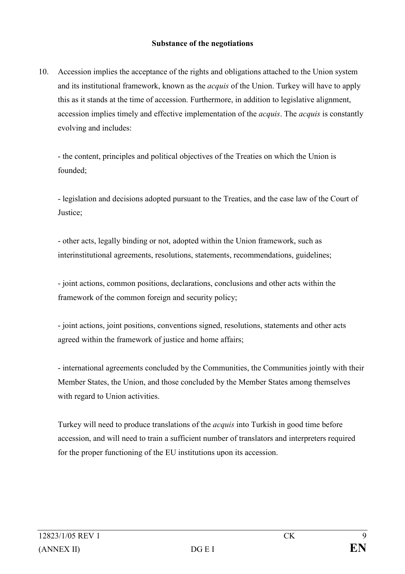#### Substance of the negotiations

10. Accession implies the acceptance of the rights and obligations attached to the Union system and its institutional framework, known as the acquis of the Union. Turkey will have to apply this as it stands at the time of accession. Furthermore, in addition to legislative alignment, accession implies timely and effective implementation of the *acquis*. The *acquis* is constantly evolving and includes:

- the content, principles and political objectives of the Treaties on which the Union is founded;

- legislation and decisions adopted pursuant to the Treaties, and the case law of the Court of Justice;

- other acts, legally binding or not, adopted within the Union framework, such as interinstitutional agreements, resolutions, statements, recommendations, guidelines;

- joint actions, common positions, declarations, conclusions and other acts within the framework of the common foreign and security policy;

- joint actions, joint positions, conventions signed, resolutions, statements and other acts agreed within the framework of justice and home affairs;

- international agreements concluded by the Communities, the Communities jointly with their Member States, the Union, and those concluded by the Member States among themselves with regard to Union activities.

Turkey will need to produce translations of the *acquis* into Turkish in good time before accession, and will need to train a sufficient number of translators and interpreters required for the proper functioning of the EU institutions upon its accession.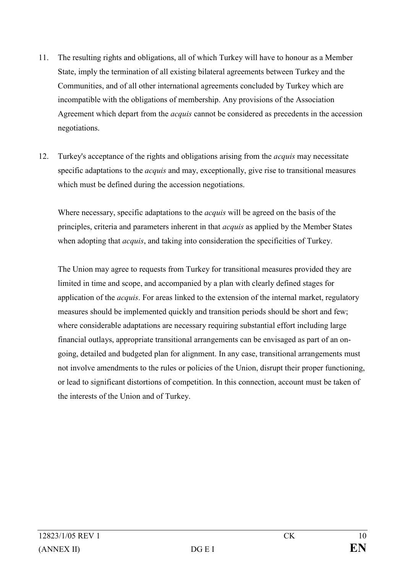- 11. The resulting rights and obligations, all of which Turkey will have to honour as a Member State, imply the termination of all existing bilateral agreements between Turkey and the Communities, and of all other international agreements concluded by Turkey which are incompatible with the obligations of membership. Any provisions of the Association Agreement which depart from the *acquis* cannot be considered as precedents in the accession negotiations.
- 12. Turkey's acceptance of the rights and obligations arising from the *acquis* may necessitate specific adaptations to the *acquis* and may, exceptionally, give rise to transitional measures which must be defined during the accession negotiations.

Where necessary, specific adaptations to the *acquis* will be agreed on the basis of the principles, criteria and parameters inherent in that acquis as applied by the Member States when adopting that *acquis*, and taking into consideration the specificities of Turkey.

The Union may agree to requests from Turkey for transitional measures provided they are limited in time and scope, and accompanied by a plan with clearly defined stages for application of the acquis. For areas linked to the extension of the internal market, regulatory measures should be implemented quickly and transition periods should be short and few; where considerable adaptations are necessary requiring substantial effort including large financial outlays, appropriate transitional arrangements can be envisaged as part of an ongoing, detailed and budgeted plan for alignment. In any case, transitional arrangements must not involve amendments to the rules or policies of the Union, disrupt their proper functioning, or lead to significant distortions of competition. In this connection, account must be taken of the interests of the Union and of Turkey.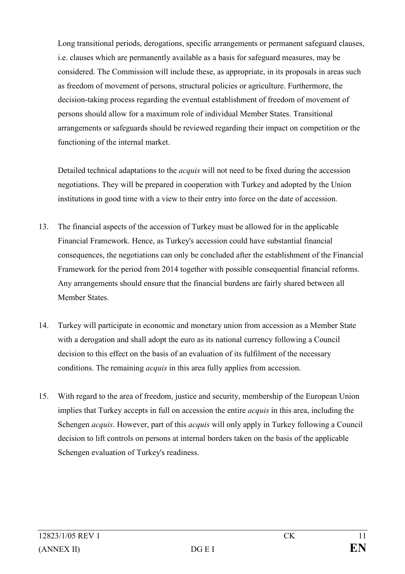Long transitional periods, derogations, specific arrangements or permanent safeguard clauses, i.e. clauses which are permanently available as a basis for safeguard measures, may be considered. The Commission will include these, as appropriate, in its proposals in areas such as freedom of movement of persons, structural policies or agriculture. Furthermore, the decision-taking process regarding the eventual establishment of freedom of movement of persons should allow for a maximum role of individual Member States. Transitional arrangements or safeguards should be reviewed regarding their impact on competition or the functioning of the internal market.

Detailed technical adaptations to the *acquis* will not need to be fixed during the accession negotiations. They will be prepared in cooperation with Turkey and adopted by the Union institutions in good time with a view to their entry into force on the date of accession.

- 13. The financial aspects of the accession of Turkey must be allowed for in the applicable Financial Framework. Hence, as Turkey's accession could have substantial financial consequences, the negotiations can only be concluded after the establishment of the Financial Framework for the period from 2014 together with possible consequential financial reforms. Any arrangements should ensure that the financial burdens are fairly shared between all Member States.
- 14. Turkey will participate in economic and monetary union from accession as a Member State with a derogation and shall adopt the euro as its national currency following a Council decision to this effect on the basis of an evaluation of its fulfilment of the necessary conditions. The remaining *acquis* in this area fully applies from accession.
- 15. With regard to the area of freedom, justice and security, membership of the European Union implies that Turkey accepts in full on accession the entire *acquis* in this area, including the Schengen *acquis*. However, part of this *acquis* will only apply in Turkey following a Council decision to lift controls on persons at internal borders taken on the basis of the applicable Schengen evaluation of Turkey's readiness.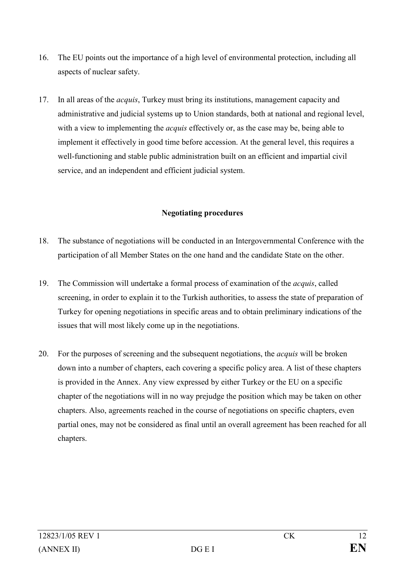- 16. The EU points out the importance of a high level of environmental protection, including all aspects of nuclear safety.
- 17. In all areas of the acquis, Turkey must bring its institutions, management capacity and administrative and judicial systems up to Union standards, both at national and regional level, with a view to implementing the *acquis* effectively or, as the case may be, being able to implement it effectively in good time before accession. At the general level, this requires a well-functioning and stable public administration built on an efficient and impartial civil service, and an independent and efficient judicial system.

# Negotiating procedures

- 18. The substance of negotiations will be conducted in an Intergovernmental Conference with the participation of all Member States on the one hand and the candidate State on the other.
- 19. The Commission will undertake a formal process of examination of the *acquis*, called screening, in order to explain it to the Turkish authorities, to assess the state of preparation of Turkey for opening negotiations in specific areas and to obtain preliminary indications of the issues that will most likely come up in the negotiations.
- 20. For the purposes of screening and the subsequent negotiations, the acquis will be broken down into a number of chapters, each covering a specific policy area. A list of these chapters is provided in the Annex. Any view expressed by either Turkey or the EU on a specific chapter of the negotiations will in no way prejudge the position which may be taken on other chapters. Also, agreements reached in the course of negotiations on specific chapters, even partial ones, may not be considered as final until an overall agreement has been reached for all chapters.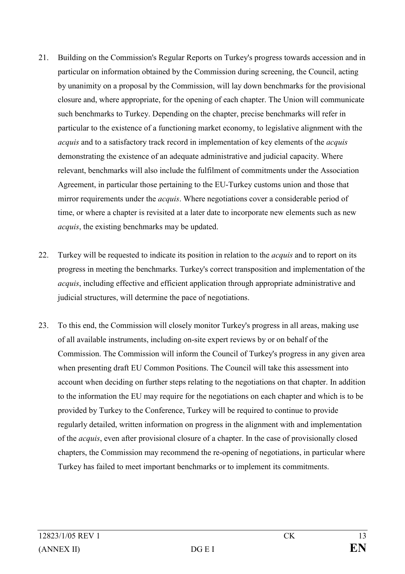- 21. Building on the Commission's Regular Reports on Turkey's progress towards accession and in particular on information obtained by the Commission during screening, the Council, acting by unanimity on a proposal by the Commission, will lay down benchmarks for the provisional closure and, where appropriate, for the opening of each chapter. The Union will communicate such benchmarks to Turkey. Depending on the chapter, precise benchmarks will refer in particular to the existence of a functioning market economy, to legislative alignment with the acquis and to a satisfactory track record in implementation of key elements of the acquis demonstrating the existence of an adequate administrative and judicial capacity. Where relevant, benchmarks will also include the fulfilment of commitments under the Association Agreement, in particular those pertaining to the EU-Turkey customs union and those that mirror requirements under the *acquis*. Where negotiations cover a considerable period of time, or where a chapter is revisited at a later date to incorporate new elements such as new acquis, the existing benchmarks may be updated.
- 22. Turkey will be requested to indicate its position in relation to the acquis and to report on its progress in meeting the benchmarks. Turkey's correct transposition and implementation of the acquis, including effective and efficient application through appropriate administrative and judicial structures, will determine the pace of negotiations.
- 23. To this end, the Commission will closely monitor Turkey's progress in all areas, making use of all available instruments, including on-site expert reviews by or on behalf of the Commission. The Commission will inform the Council of Turkey's progress in any given area when presenting draft EU Common Positions. The Council will take this assessment into account when deciding on further steps relating to the negotiations on that chapter. In addition to the information the EU may require for the negotiations on each chapter and which is to be provided by Turkey to the Conference, Turkey will be required to continue to provide regularly detailed, written information on progress in the alignment with and implementation of the acquis, even after provisional closure of a chapter. In the case of provisionally closed chapters, the Commission may recommend the re-opening of negotiations, in particular where Turkey has failed to meet important benchmarks or to implement its commitments.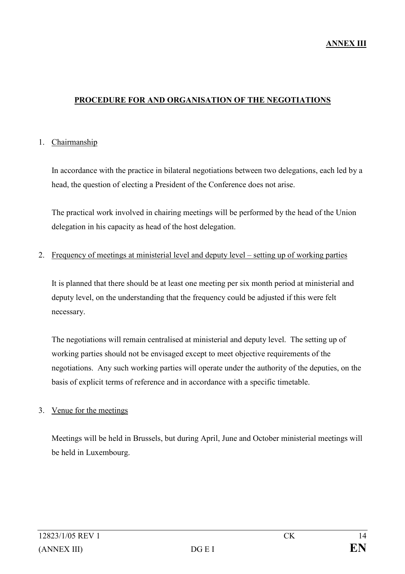#### PROCEDURE FOR AND ORGANISATION OF THE NEGOTIATIONS

#### 1. Chairmanship

 In accordance with the practice in bilateral negotiations between two delegations, each led by a head, the question of electing a President of the Conference does not arise.

 The practical work involved in chairing meetings will be performed by the head of the Union delegation in his capacity as head of the host delegation.

#### 2. Frequency of meetings at ministerial level and deputy level – setting up of working parties

 It is planned that there should be at least one meeting per six month period at ministerial and deputy level, on the understanding that the frequency could be adjusted if this were felt necessary.

 The negotiations will remain centralised at ministerial and deputy level. The setting up of working parties should not be envisaged except to meet objective requirements of the negotiations. Any such working parties will operate under the authority of the deputies, on the basis of explicit terms of reference and in accordance with a specific timetable.

#### 3. Venue for the meetings

 Meetings will be held in Brussels, but during April, June and October ministerial meetings will be held in Luxembourg.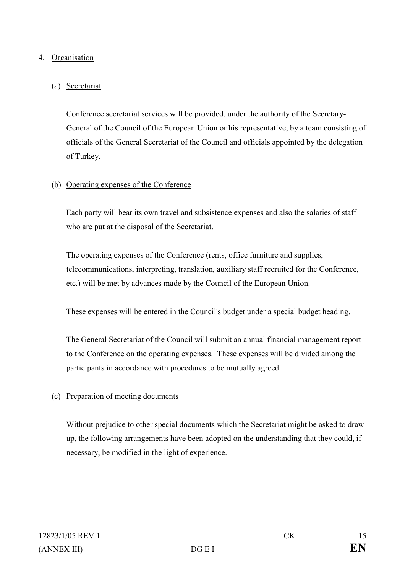### 4. Organisation

# (a) Secretariat

 Conference secretariat services will be provided, under the authority of the Secretary-General of the Council of the European Union or his representative, by a team consisting of officials of the General Secretariat of the Council and officials appointed by the delegation of Turkey.

### (b) Operating expenses of the Conference

 Each party will bear its own travel and subsistence expenses and also the salaries of staff who are put at the disposal of the Secretariat.

 The operating expenses of the Conference (rents, office furniture and supplies, telecommunications, interpreting, translation, auxiliary staff recruited for the Conference, etc.) will be met by advances made by the Council of the European Union.

These expenses will be entered in the Council's budget under a special budget heading.

 The General Secretariat of the Council will submit an annual financial management report to the Conference on the operating expenses. These expenses will be divided among the participants in accordance with procedures to be mutually agreed.

# (c) Preparation of meeting documents

 Without prejudice to other special documents which the Secretariat might be asked to draw up, the following arrangements have been adopted on the understanding that they could, if necessary, be modified in the light of experience.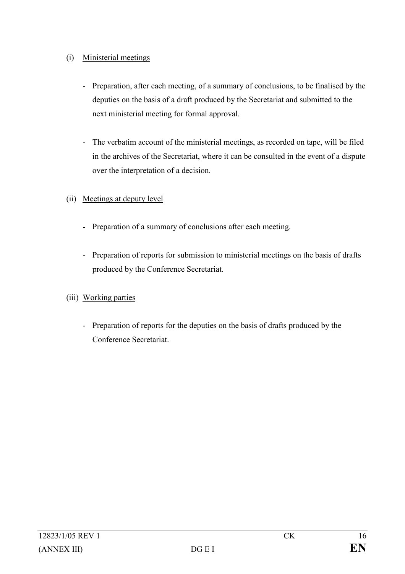# (i) Ministerial meetings

- Preparation, after each meeting, of a summary of conclusions, to be finalised by the deputies on the basis of a draft produced by the Secretariat and submitted to the next ministerial meeting for formal approval.
- The verbatim account of the ministerial meetings, as recorded on tape, will be filed in the archives of the Secretariat, where it can be consulted in the event of a dispute over the interpretation of a decision.
- (ii) Meetings at deputy level
	- Preparation of a summary of conclusions after each meeting.
	- Preparation of reports for submission to ministerial meetings on the basis of drafts produced by the Conference Secretariat.
- (iii) Working parties
	- Preparation of reports for the deputies on the basis of drafts produced by the Conference Secretariat.